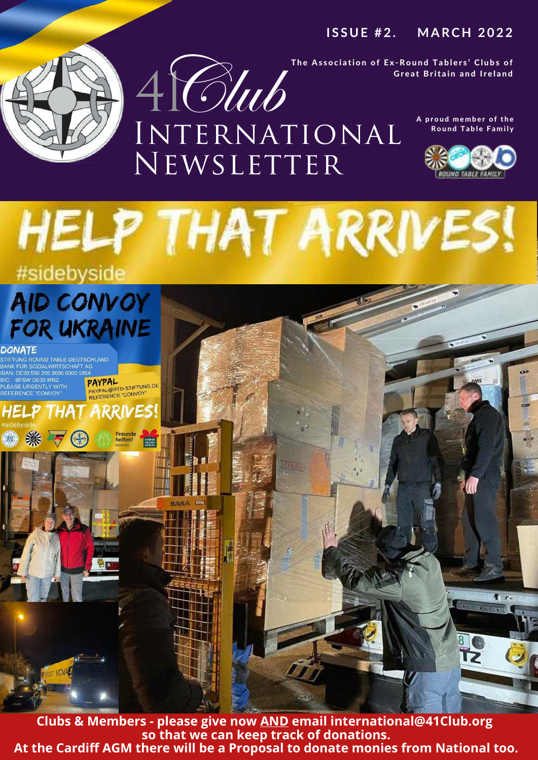### **I S S U E # 2 . MARCH 2 0 2 2**

The Association of Ex-Round Tablers' Clubs of Great Britain and Ireland

> A proud member of the **Round Table Family**









**Clubs & Members - please give now AND email international@41Club.org so that we can keep track of donations. At the Cardiff AGM there will be a Proposal to donate monies from National too.**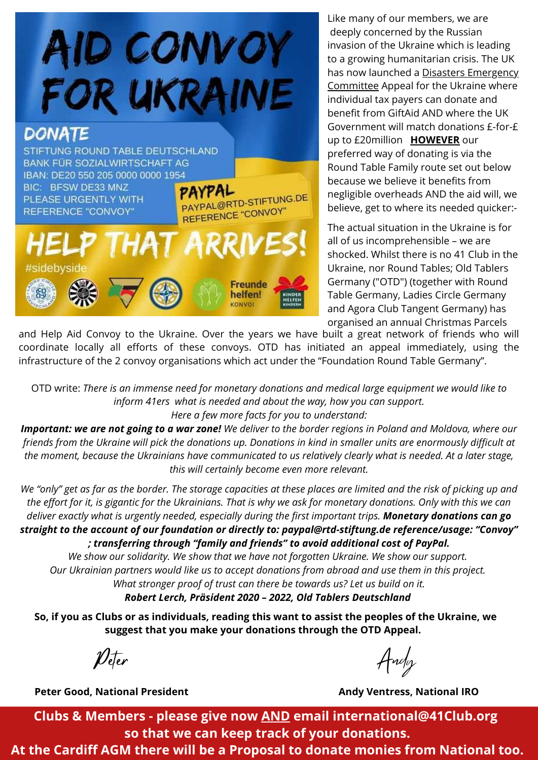

Like many of our members, we are deeply concerned by the Russian invasion of the Ukraine which is leading to a growing humanitarian crisis. The UK has now launched a Disasters Emergency [Committee](https://www.dec.org.uk/) Appeal for the Ukraine where individual tax payers can donate and benefit from GiftAid AND where the UK Government will match donations £-for-£ up to £20million **HOWEVER** our preferred way of donating is via the Round Table Family route set out below because we believe it benefits from negligible overheads AND the aid will, we believe, get to where its needed quicker:-

The actual situation in the Ukraine is for all of us incomprehensible – we are shocked. Whilst there is no 41 Club in the Ukraine, nor Round Tables; Old Tablers Germany ("OTD") (together with Round Table Germany, Ladies Circle Germany and Agora Club Tangent Germany) has organised an annual Christmas Parcels

and Help Aid Convoy to the Ukraine. Over the years we have built a great network of friends who will coordinate locally all efforts of these convoys. OTD has initiated an appeal immediately, using the infrastructure of the 2 convoy organisations which act under the "Foundation Round Table Germany".

OTD write: *There is an immense need for monetary donations and medical large equipment we would like to inform 41ers what is needed and about the way, how you can support. Here a few more facts for you to understand:*

Important: we are not going to a war zone! We deliver to the border regions in Poland and Moldova, where our friends from the Ukraine will pick the donations up. Donations in kind in smaller units are enormously difficult at the moment, because the Ukrainians have communicated to us relatively clearly what is needed. At a later stage, *this will certainly become even more relevant.*

We "only" get as far as the border. The storage capacities at these places are limited and the risk of picking up and the effort for it, is gigantic for the Ukrainians. That is why we ask for monetary donations. Only with this we can *deliver exactly what is urgently needed, especially during the first important trips. Monetary donations can go straight to the account of our foundation or directly to: paypal@rtd-stiftung.de reference/usage: "Convoy" ; transferring through "family and friends" to avoid additional cost of PayPal.*

*We show our solidarity. We show that we have not forgotten Ukraine. We show our support. Our Ukrainian partners would like us to accept donations from abroad and use them in this project. What stronger proof of trust can there be towards us? Let us build on it. Robert Lerch, Präsident 2020 – 2022, Old Tablers Deutschland*

So, if you as Clubs or as individuals, reading this want to assist the peoples of the Ukraine, we **suggest that you make your donations through the OTD Appeal.**

**Peter Good, National President Andy Ventress, National IRO**

 $\rho$ eter  $A$ ndy

**Clubs & Members - please give now AND email international@41Club.org so that we can keep track of your donations.**

**At the Cardiff AGM there will be a Proposal to donate monies from National too.**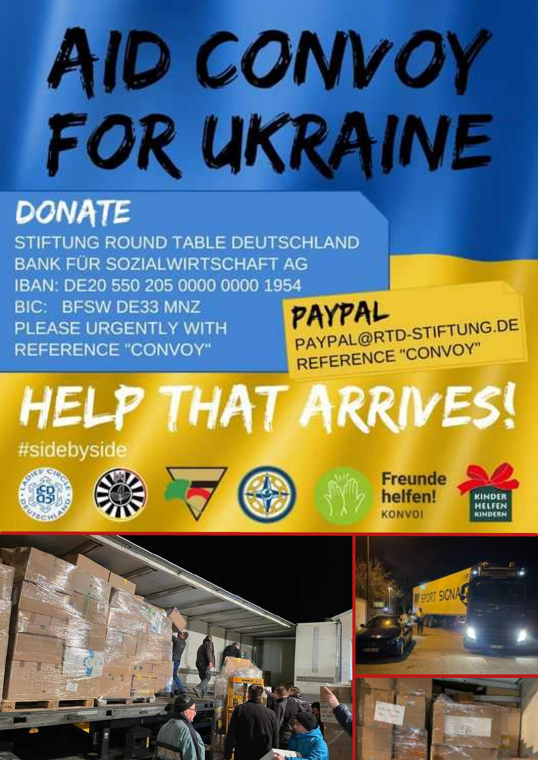# AID CONVOY FOR UKRAINE

# **DONATE**

STIFTUNG ROUND TABLE DEUTSCHLAND **BANK FÜR SOZIALWIRTSCHAFT AG** IBAN: DE20 550 205 0000 0000 1954 BIC: BFSW DE33 MNZ PLEASE URGENTLY WITH **REFERENCE "CONVOY"** 

PAYPAL PAYPAL@RTD-STIFTUNG.DE REFERENCE "CONVOY"















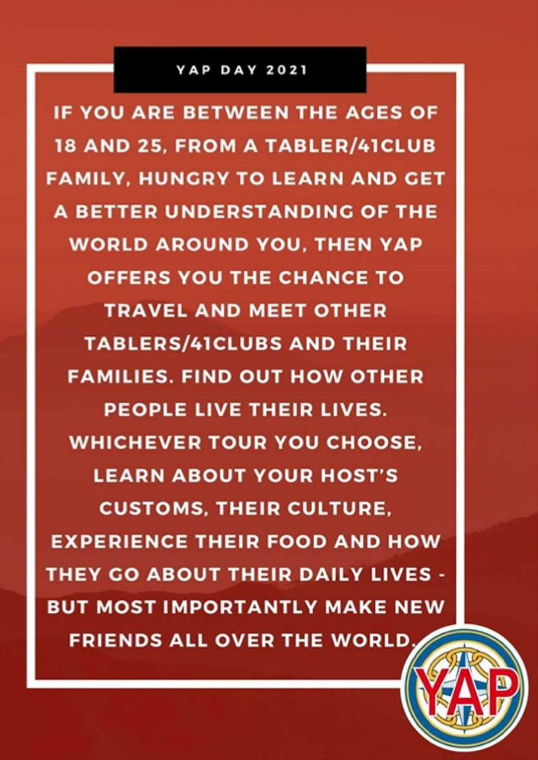#### **YAP DAY 2021**

**IF YOU ARE BETWEEN THE AGES OF 18 AND 25, FROM A TABLER/41CLUB FAMILY, HUNGRY TO LEARN AND GET A BETTER UNDERSTANDING OF THE WORLD AROUND YOU, THEN YAP OFFERS YOU THE CHANCE TO TRAVEL AND MEET OTHER TABLERS/41CLUBS AND THEIR FAMILIES. FIND OUT HOW OTHER PEOPLE LIVE THEIR LIVES. WHICHEVER TOUR YOU CHOOSE. LEARN ABOUT YOUR HOST'S CUSTOMS, THEIR CULTURE, EXPERIENCE THEIR FOOD AND HOW THEY GO ABOUT THEIR DAILY LIVES -BUT MOST IMPORTANTLY MAKE NEW FRIENDS ALL OVER THE WORLD.**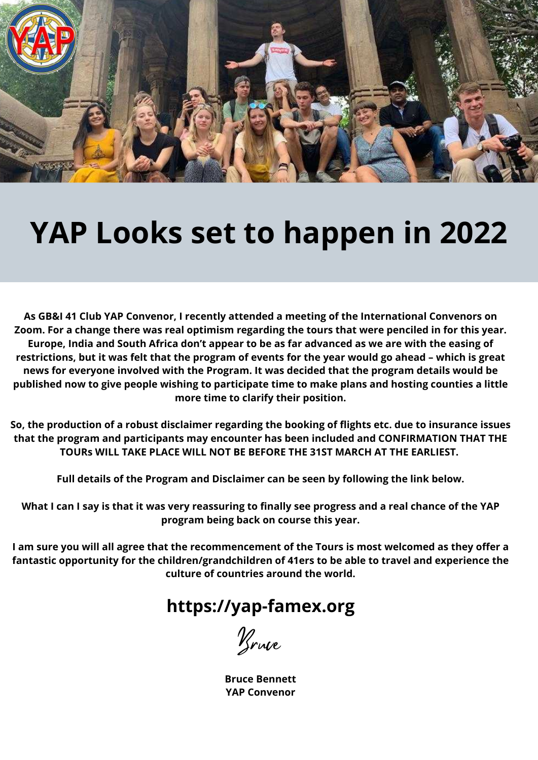

# **YAP Looks set to happen in 2022**

**As GB&I 41 Club YAP Convenor, I recently attended a meeting of the International Convenors on** Zoom. For a change there was real optimism regarding the tours that were penciled in for this year. Europe, India and South Africa don't appear to be as far advanced as we are with the easing of restrictions, but it was felt that the program of events for the year would go ahead - which is great **news for everyone involved with the Program. It was decided that the program details would be published now to give people wishing to participate time to make plans and hosting counties a little more time to clarify their position.**

**So, the production of a robust disclaimer regarding the booking of flights etc. due to insurance issues that the program and participants may encounter has been included and CONFIRMATION THAT THE TOURs WILL TAKE PLACE WILL NOT BE BEFORE THE 31ST MARCH AT THE EARLIEST.**

**Full details of the Program and Disclaimer can be seen by following the link below.**

What I can I say is that it was very reassuring to finally see progress and a real chance of the YAP **program being back on course this year.**

I am sure you will all agree that the recommencement of the Tours is most welcomed as they offer a **fantastic opportunity for the children/grandchildren of 41ers to be able to travel and experience the culture of countries around the world.**

## **[https://yap-famex.org](https://yap-famex.org/)**

Bruce

**Bruce Bennett YAP Convenor**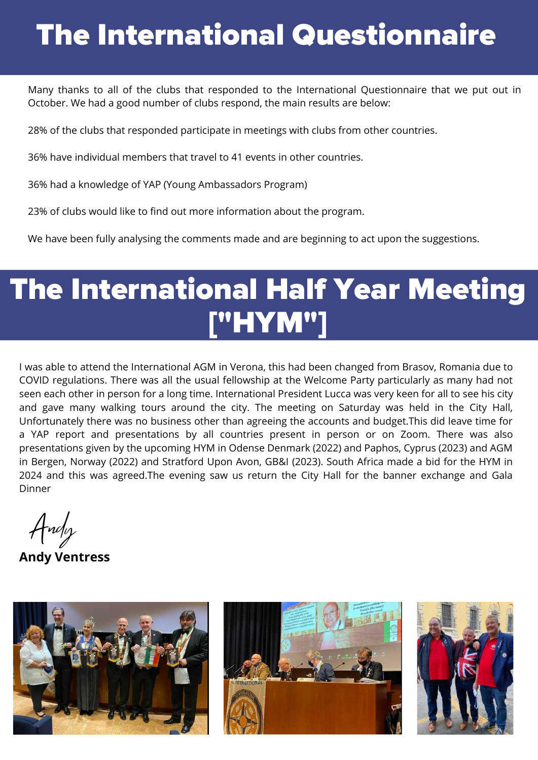# The International Questionnaire

Many thanks to all of the clubs that responded to the International Questionnaire that we put out in October. We had a good number of clubs respond, the main results are below:

28% of the clubs that responded participate in meetings with clubs from other countries.

36% have individual members that travel to 41 events in other countries.

36% had a knowledge of YAP (Young Ambassadors Program)

23% of clubs would like to find out more information about the program.

We have been fully analysing the comments made and are beginning to act upon the suggestions.

# ["HYM"] The International Half Year Meeting

I was able to attend the International AGM in Verona, this had been changed from Brasov, Romania due to COVID regulations. There was all the usual fellowship at the Welcome Party particularly as many had not seen each other in person for a long time. International President Lucca was very keen for all to see his city and gave many walking tours around the city. The meeting on Saturday was held in the City Hall, Unfortunately there was no business other than agreeing the accounts and budget.This did leave time for a YAP report and presentations by all countries present in person or on Zoom. There was also presentations given by the upcoming HYM in Odense Denmark (2022) and Paphos, Cyprus (2023) and AGM in Bergen, Norway (2022) and Stratford Upon Avon, GB&I (2023). South Africa made a bid for the HYM in 2024 and this was agreed.The evening saw us return the City Hall for the banner exchange and Gala Dinner

Andy

**Andy Ventress**





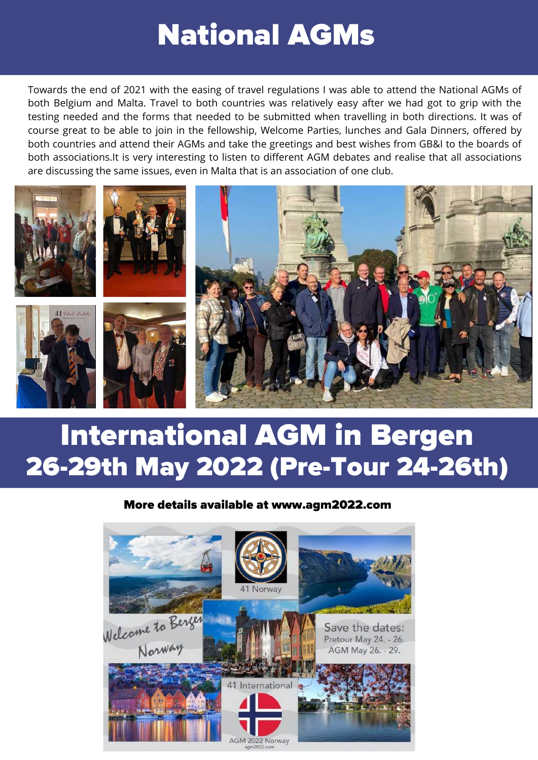## National AGMs

Towards the end of 2021 with the easing of travel regulations I was able to attend the National AGMs of both Belgium and Malta. Travel to both countries was relatively easy after we had got to grip with the testing needed and the forms that needed to be submitted when travelling in both directions. It was of course great to be able to join in the fellowship, Welcome Parties, lunches and Gala Dinners, offered by both countries and attend their AGMs and take the greetings and best wishes from GB&I to the boards of both associations.It is very interesting to listen to different AGM debates and realise that all associations are discussing the same issues, even in Malta that is an association of one club.



## International AGM in Bergen 26-29th May 2022 (Pre-Tour 24-26th)

#### More details available at www.agm2022.com